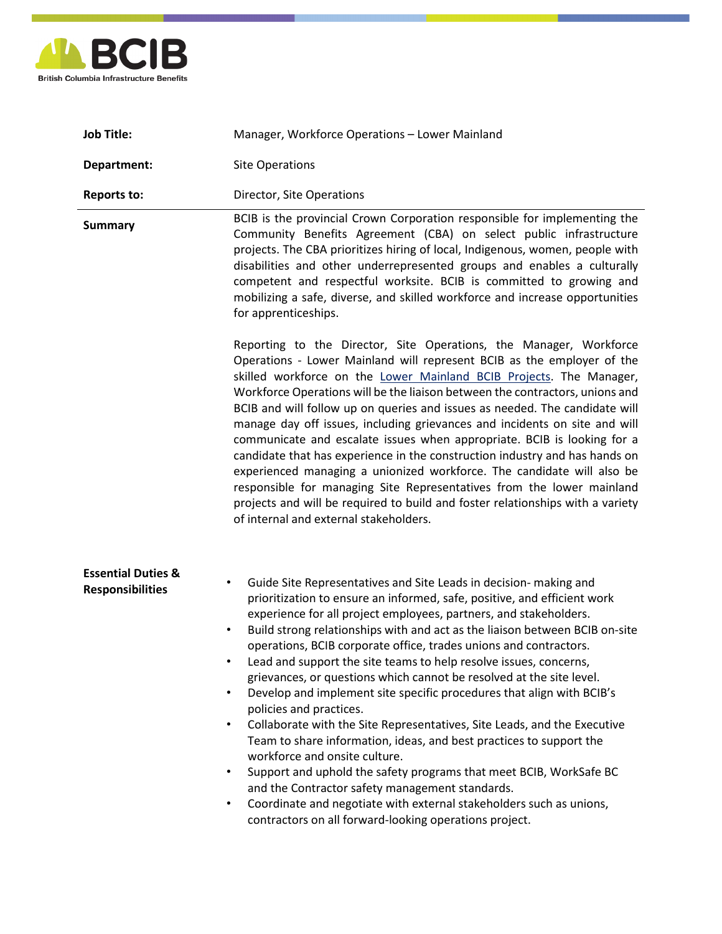

| <b>Job Title:</b>                                        | Manager, Workforce Operations - Lower Mainland                                                                                                                                                                                                                                                                                                                                                                                                                                                                                                                                                                                                                                                                                                                                                                                                                                                                                                                                                                                                                                                                                              |
|----------------------------------------------------------|---------------------------------------------------------------------------------------------------------------------------------------------------------------------------------------------------------------------------------------------------------------------------------------------------------------------------------------------------------------------------------------------------------------------------------------------------------------------------------------------------------------------------------------------------------------------------------------------------------------------------------------------------------------------------------------------------------------------------------------------------------------------------------------------------------------------------------------------------------------------------------------------------------------------------------------------------------------------------------------------------------------------------------------------------------------------------------------------------------------------------------------------|
| Department:                                              | <b>Site Operations</b>                                                                                                                                                                                                                                                                                                                                                                                                                                                                                                                                                                                                                                                                                                                                                                                                                                                                                                                                                                                                                                                                                                                      |
| <b>Reports to:</b>                                       | Director, Site Operations                                                                                                                                                                                                                                                                                                                                                                                                                                                                                                                                                                                                                                                                                                                                                                                                                                                                                                                                                                                                                                                                                                                   |
| <b>Summary</b>                                           | BCIB is the provincial Crown Corporation responsible for implementing the<br>Community Benefits Agreement (CBA) on select public infrastructure<br>projects. The CBA prioritizes hiring of local, Indigenous, women, people with<br>disabilities and other underrepresented groups and enables a culturally<br>competent and respectful worksite. BCIB is committed to growing and<br>mobilizing a safe, diverse, and skilled workforce and increase opportunities<br>for apprenticeships.                                                                                                                                                                                                                                                                                                                                                                                                                                                                                                                                                                                                                                                  |
|                                                          | Reporting to the Director, Site Operations, the Manager, Workforce<br>Operations - Lower Mainland will represent BCIB as the employer of the<br>skilled workforce on the Lower Mainland BCIB Projects. The Manager,<br>Workforce Operations will be the liaison between the contractors, unions and<br>BCIB and will follow up on queries and issues as needed. The candidate will<br>manage day off issues, including grievances and incidents on site and will<br>communicate and escalate issues when appropriate. BCIB is looking for a<br>candidate that has experience in the construction industry and has hands on<br>experienced managing a unionized workforce. The candidate will also be<br>responsible for managing Site Representatives from the lower mainland<br>projects and will be required to build and foster relationships with a variety<br>of internal and external stakeholders.                                                                                                                                                                                                                                   |
| <b>Essential Duties &amp;</b><br><b>Responsibilities</b> | Guide Site Representatives and Site Leads in decision- making and<br>$\bullet$<br>prioritization to ensure an informed, safe, positive, and efficient work<br>experience for all project employees, partners, and stakeholders.<br>Build strong relationships with and act as the liaison between BCIB on-site<br>operations, BCIB corporate office, trades unions and contractors.<br>Lead and support the site teams to help resolve issues, concerns,<br>٠<br>grievances, or questions which cannot be resolved at the site level.<br>Develop and implement site specific procedures that align with BCIB's<br>$\bullet$<br>policies and practices.<br>Collaborate with the Site Representatives, Site Leads, and the Executive<br>$\bullet$<br>Team to share information, ideas, and best practices to support the<br>workforce and onsite culture.<br>Support and uphold the safety programs that meet BCIB, WorkSafe BC<br>$\bullet$<br>and the Contractor safety management standards.<br>Coordinate and negotiate with external stakeholders such as unions,<br>$\bullet$<br>contractors on all forward-looking operations project. |